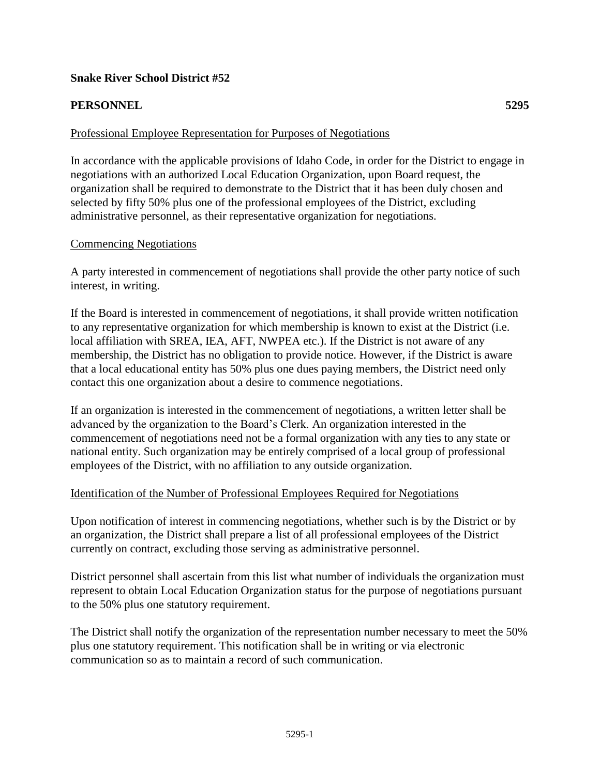# **Snake River School District #52**

### **PERSONNEL 5295**

#### Professional Employee Representation for Purposes of Negotiations

In accordance with the applicable provisions of Idaho Code, in order for the District to engage in negotiations with an authorized Local Education Organization, upon Board request, the organization shall be required to demonstrate to the District that it has been duly chosen and selected by fifty 50% plus one of the professional employees of the District, excluding administrative personnel, as their representative organization for negotiations.

#### Commencing Negotiations

A party interested in commencement of negotiations shall provide the other party notice of such interest, in writing.

If the Board is interested in commencement of negotiations, it shall provide written notification to any representative organization for which membership is known to exist at the District (i.e. local affiliation with SREA, IEA, AFT, NWPEA etc.). If the District is not aware of any membership, the District has no obligation to provide notice. However, if the District is aware that a local educational entity has 50% plus one dues paying members, the District need only contact this one organization about a desire to commence negotiations.

If an organization is interested in the commencement of negotiations, a written letter shall be advanced by the organization to the Board's Clerk. An organization interested in the commencement of negotiations need not be a formal organization with any ties to any state or national entity. Such organization may be entirely comprised of a local group of professional employees of the District, with no affiliation to any outside organization.

### Identification of the Number of Professional Employees Required for Negotiations

Upon notification of interest in commencing negotiations, whether such is by the District or by an organization, the District shall prepare a list of all professional employees of the District currently on contract, excluding those serving as administrative personnel.

District personnel shall ascertain from this list what number of individuals the organization must represent to obtain Local Education Organization status for the purpose of negotiations pursuant to the 50% plus one statutory requirement.

The District shall notify the organization of the representation number necessary to meet the 50% plus one statutory requirement. This notification shall be in writing or via electronic communication so as to maintain a record of such communication.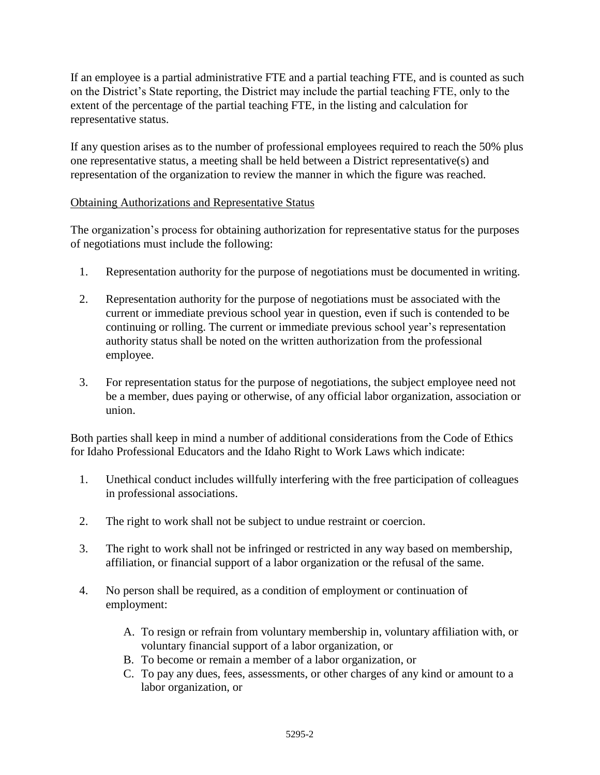If an employee is a partial administrative FTE and a partial teaching FTE, and is counted as such on the District's State reporting, the District may include the partial teaching FTE, only to the extent of the percentage of the partial teaching FTE, in the listing and calculation for representative status.

If any question arises as to the number of professional employees required to reach the 50% plus one representative status, a meeting shall be held between a District representative(s) and representation of the organization to review the manner in which the figure was reached.

# Obtaining Authorizations and Representative Status

The organization's process for obtaining authorization for representative status for the purposes of negotiations must include the following:

- 1. Representation authority for the purpose of negotiations must be documented in writing.
- 2. Representation authority for the purpose of negotiations must be associated with the current or immediate previous school year in question, even if such is contended to be continuing or rolling. The current or immediate previous school year's representation authority status shall be noted on the written authorization from the professional employee.
- 3. For representation status for the purpose of negotiations, the subject employee need not be a member, dues paying or otherwise, of any official labor organization, association or union.

Both parties shall keep in mind a number of additional considerations from the Code of Ethics for Idaho Professional Educators and the Idaho Right to Work Laws which indicate:

- 1. Unethical conduct includes willfully interfering with the free participation of colleagues in professional associations.
- 2. The right to work shall not be subject to undue restraint or coercion.
- 3. The right to work shall not be infringed or restricted in any way based on membership, affiliation, or financial support of a labor organization or the refusal of the same.
- 4. No person shall be required, as a condition of employment or continuation of employment:
	- A. To resign or refrain from voluntary membership in, voluntary affiliation with, or voluntary financial support of a labor organization, or
	- B. To become or remain a member of a labor organization, or
	- C. To pay any dues, fees, assessments, or other charges of any kind or amount to a labor organization, or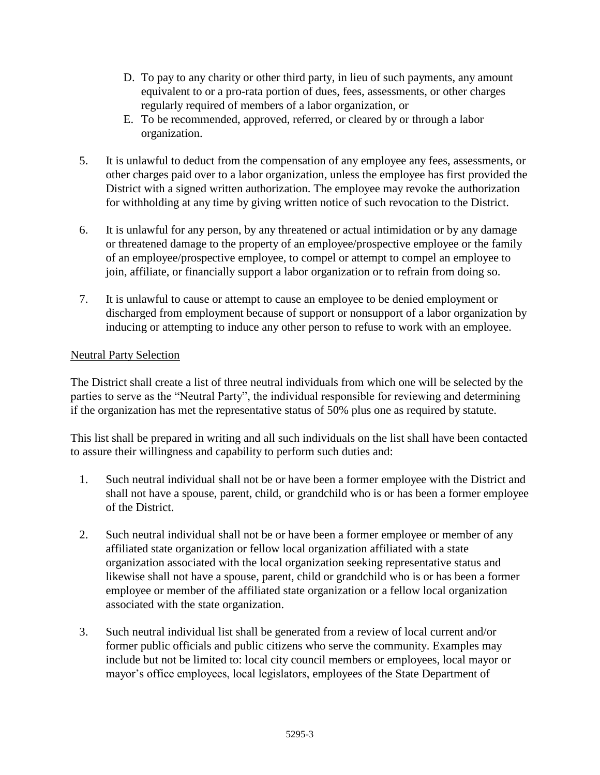- D. To pay to any charity or other third party, in lieu of such payments, any amount equivalent to or a pro-rata portion of dues, fees, assessments, or other charges regularly required of members of a labor organization, or
- E. To be recommended, approved, referred, or cleared by or through a labor organization.
- 5. It is unlawful to deduct from the compensation of any employee any fees, assessments, or other charges paid over to a labor organization, unless the employee has first provided the District with a signed written authorization. The employee may revoke the authorization for withholding at any time by giving written notice of such revocation to the District.
- 6. It is unlawful for any person, by any threatened or actual intimidation or by any damage or threatened damage to the property of an employee/prospective employee or the family of an employee/prospective employee, to compel or attempt to compel an employee to join, affiliate, or financially support a labor organization or to refrain from doing so.
- 7. It is unlawful to cause or attempt to cause an employee to be denied employment or discharged from employment because of support or nonsupport of a labor organization by inducing or attempting to induce any other person to refuse to work with an employee.

# Neutral Party Selection

The District shall create a list of three neutral individuals from which one will be selected by the parties to serve as the "Neutral Party", the individual responsible for reviewing and determining if the organization has met the representative status of 50% plus one as required by statute.

This list shall be prepared in writing and all such individuals on the list shall have been contacted to assure their willingness and capability to perform such duties and:

- 1. Such neutral individual shall not be or have been a former employee with the District and shall not have a spouse, parent, child, or grandchild who is or has been a former employee of the District.
- 2. Such neutral individual shall not be or have been a former employee or member of any affiliated state organization or fellow local organization affiliated with a state organization associated with the local organization seeking representative status and likewise shall not have a spouse, parent, child or grandchild who is or has been a former employee or member of the affiliated state organization or a fellow local organization associated with the state organization.
- 3. Such neutral individual list shall be generated from a review of local current and/or former public officials and public citizens who serve the community. Examples may include but not be limited to: local city council members or employees, local mayor or mayor's office employees, local legislators, employees of the State Department of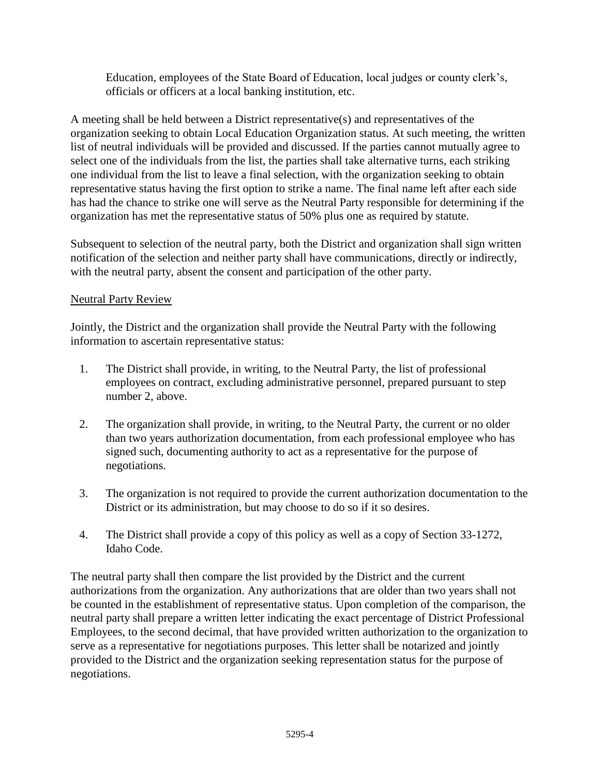Education, employees of the State Board of Education, local judges or county clerk's, officials or officers at a local banking institution, etc.

A meeting shall be held between a District representative(s) and representatives of the organization seeking to obtain Local Education Organization status. At such meeting, the written list of neutral individuals will be provided and discussed. If the parties cannot mutually agree to select one of the individuals from the list, the parties shall take alternative turns, each striking one individual from the list to leave a final selection, with the organization seeking to obtain representative status having the first option to strike a name. The final name left after each side has had the chance to strike one will serve as the Neutral Party responsible for determining if the organization has met the representative status of 50% plus one as required by statute.

Subsequent to selection of the neutral party, both the District and organization shall sign written notification of the selection and neither party shall have communications, directly or indirectly, with the neutral party, absent the consent and participation of the other party.

# Neutral Party Review

Jointly, the District and the organization shall provide the Neutral Party with the following information to ascertain representative status:

- 1. The District shall provide, in writing, to the Neutral Party, the list of professional employees on contract, excluding administrative personnel, prepared pursuant to step number 2, above.
- 2. The organization shall provide, in writing, to the Neutral Party, the current or no older than two years authorization documentation, from each professional employee who has signed such, documenting authority to act as a representative for the purpose of negotiations.
- 3. The organization is not required to provide the current authorization documentation to the District or its administration, but may choose to do so if it so desires.
- 4. The District shall provide a copy of this policy as well as a copy of Section 33-1272, Idaho Code.

The neutral party shall then compare the list provided by the District and the current authorizations from the organization. Any authorizations that are older than two years shall not be counted in the establishment of representative status. Upon completion of the comparison, the neutral party shall prepare a written letter indicating the exact percentage of District Professional Employees, to the second decimal, that have provided written authorization to the organization to serve as a representative for negotiations purposes. This letter shall be notarized and jointly provided to the District and the organization seeking representation status for the purpose of negotiations.